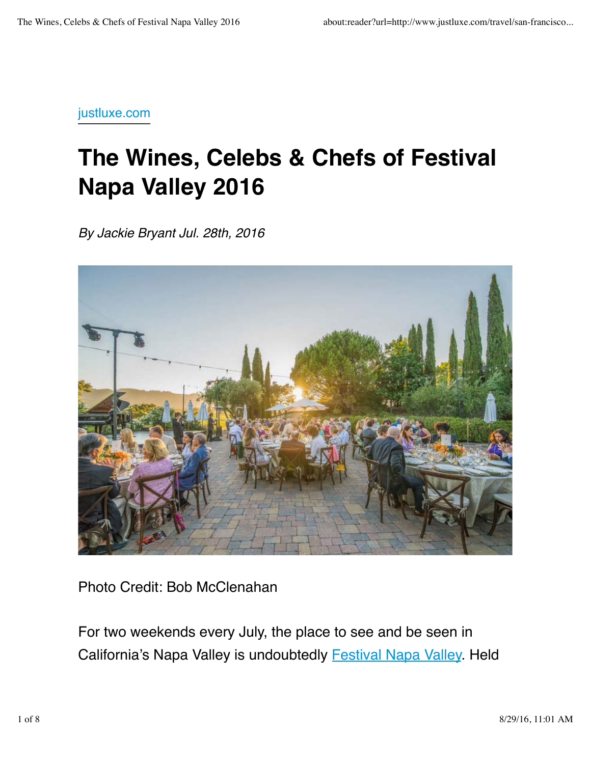## justluxe.com

## **The Wines, Celebs & Chefs of Festival Napa Valley 2016**

*By Jackie Bryant Jul. 28th, 2016*



Photo Credit: Bob McClenahan

For two weekends every July, the place to see and be seen in California's Napa Valley is undoubtedly Festival Napa Valley. Held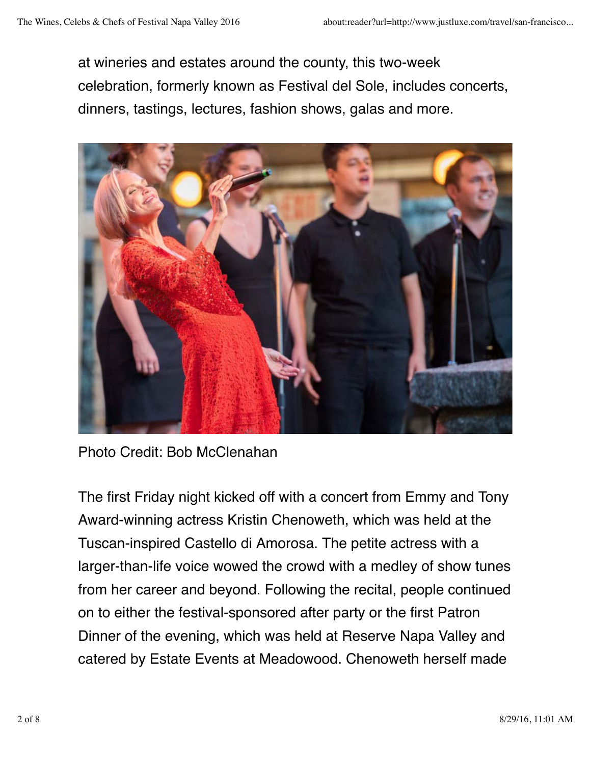at wineries and estates around the county, this two-week celebration, formerly known as Festival del Sole, includes concerts, dinners, tastings, lectures, fashion shows, galas and more.



Photo Credit: Bob McClenahan

The first Friday night kicked off with a concert from Emmy and Tony Award-winning actress Kristin Chenoweth, which was held at the Tuscan-inspired Castello di Amorosa. The petite actress with a larger-than-life voice wowed the crowd with a medley of show tunes from her career and beyond. Following the recital, people continued on to either the festival-sponsored after party or the first Patron Dinner of the evening, which was held at Reserve Napa Valley and catered by Estate Events at Meadowood. Chenoweth herself made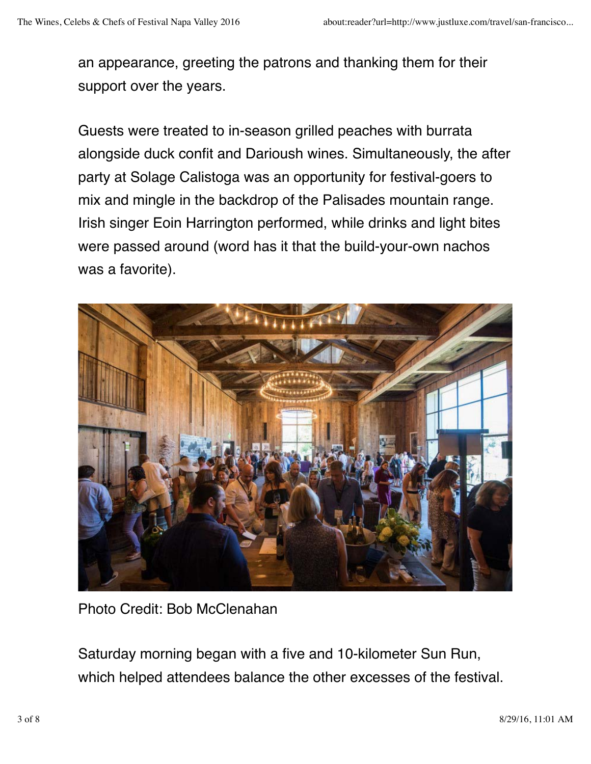an appearance, greeting the patrons and thanking them for their support over the years.

Guests were treated to in-season grilled peaches with burrata alongside duck confit and Darioush wines. Simultaneously, the after party at Solage Calistoga was an opportunity for festival-goers to mix and mingle in the backdrop of the Palisades mountain range. Irish singer Eoin Harrington performed, while drinks and light bites were passed around (word has it that the build-your-own nachos was a favorite).



Photo Credit: Bob McClenahan

Saturday morning began with a five and 10-kilometer Sun Run, which helped attendees balance the other excesses of the festival.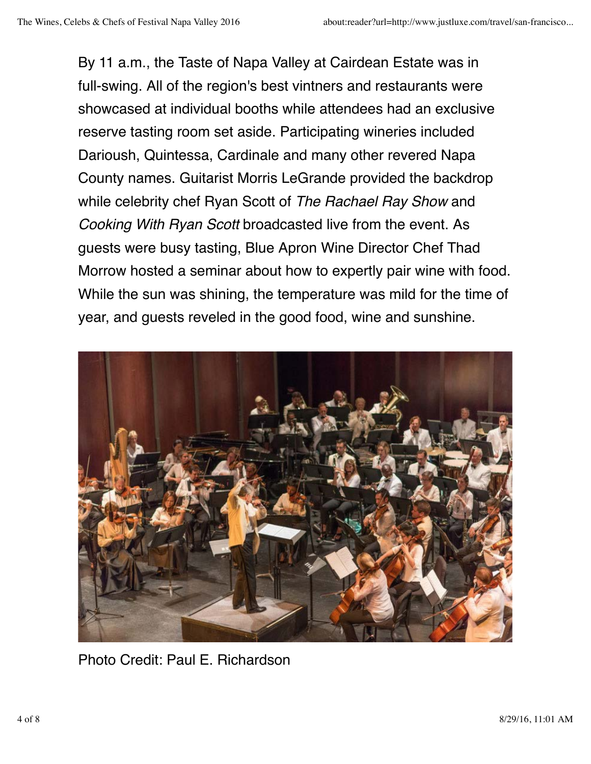By 11 a.m., the Taste of Napa Valley at Cairdean Estate was in full-swing. All of the region's best vintners and restaurants were showcased at individual booths while attendees had an exclusive reserve tasting room set aside. Participating wineries included Darioush, Quintessa, Cardinale and many other revered Napa County names. Guitarist Morris LeGrande provided the backdrop while celebrity chef Ryan Scott of *The Rachael Ray Show* and *Cooking With Ryan Scott* broadcasted live from the event. As guests were busy tasting, Blue Apron Wine Director Chef Thad Morrow hosted a seminar about how to expertly pair wine with food. While the sun was shining, the temperature was mild for the time of year, and guests reveled in the good food, wine and sunshine.



Photo Credit: Paul E. Richardson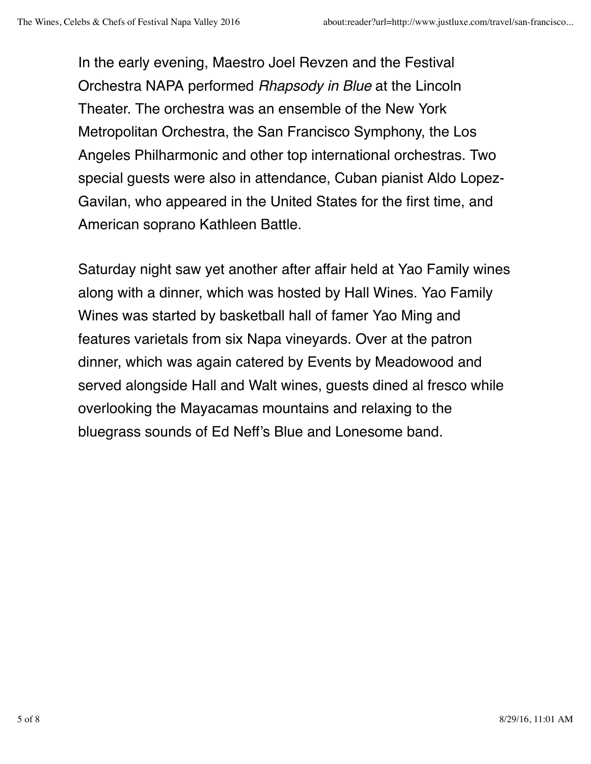In the early evening, Maestro Joel Revzen and the Festival Orchestra NAPA performed *Rhapsody in Blue* at the Lincoln Theater. The orchestra was an ensemble of the New York Metropolitan Orchestra, the San Francisco Symphony, the Los Angeles Philharmonic and other top international orchestras. Two special guests were also in attendance, Cuban pianist Aldo Lopez-Gavilan, who appeared in the United States for the first time, and American soprano Kathleen Battle.

Saturday night saw yet another after affair held at Yao Family wines along with a dinner, which was hosted by Hall Wines. Yao Family Wines was started by basketball hall of famer Yao Ming and features varietals from six Napa vineyards. Over at the patron dinner, which was again catered by Events by Meadowood and served alongside Hall and Walt wines, guests dined al fresco while overlooking the Mayacamas mountains and relaxing to the bluegrass sounds of Ed Neff's Blue and Lonesome band.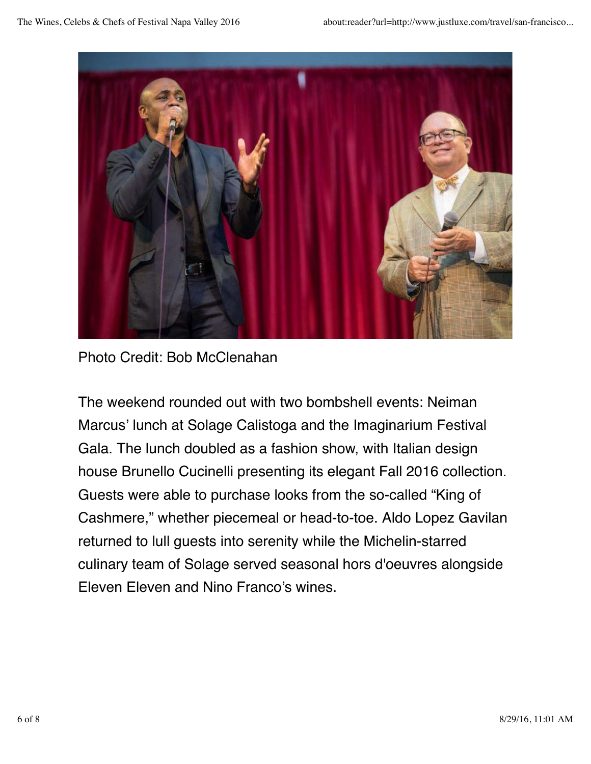

Photo Credit: Bob McClenahan

The weekend rounded out with two bombshell events: Neiman Marcus' lunch at Solage Calistoga and the Imaginarium Festival Gala. The lunch doubled as a fashion show, with Italian design house Brunello Cucinelli presenting its elegant Fall 2016 collection. Guests were able to purchase looks from the so-called "King of Cashmere," whether piecemeal or head-to-toe. Aldo Lopez Gavilan returned to lull guests into serenity while the Michelin-starred culinary team of Solage served seasonal hors d'oeuvres alongside Eleven Eleven and Nino Franco's wines.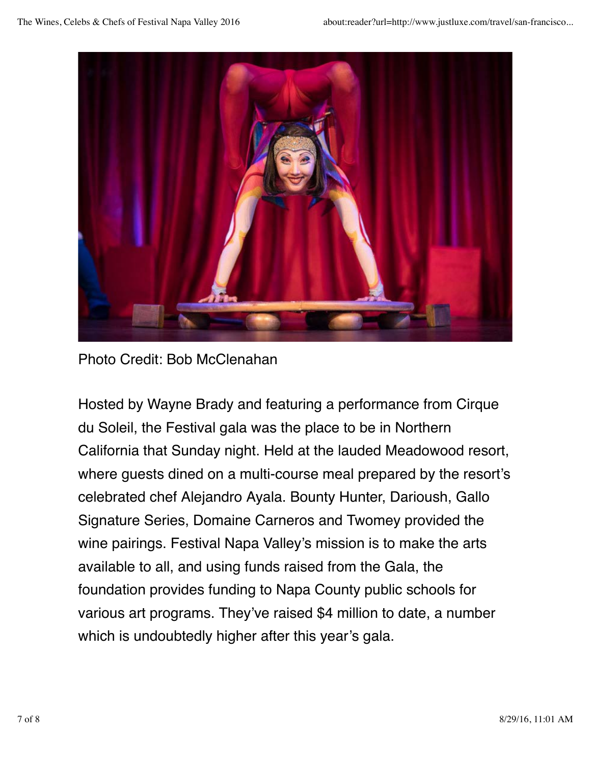

Photo Credit: Bob McClenahan

Hosted by Wayne Brady and featuring a performance from Cirque du Soleil, the Festival gala was the place to be in Northern California that Sunday night. Held at the lauded Meadowood resort, where guests dined on a multi-course meal prepared by the resort's celebrated chef Alejandro Ayala. Bounty Hunter, Darioush, Gallo Signature Series, Domaine Carneros and Twomey provided the wine pairings. Festival Napa Valley's mission is to make the arts available to all, and using funds raised from the Gala, the foundation provides funding to Napa County public schools for various art programs. They've raised \$4 million to date, a number which is undoubtedly higher after this year's gala.